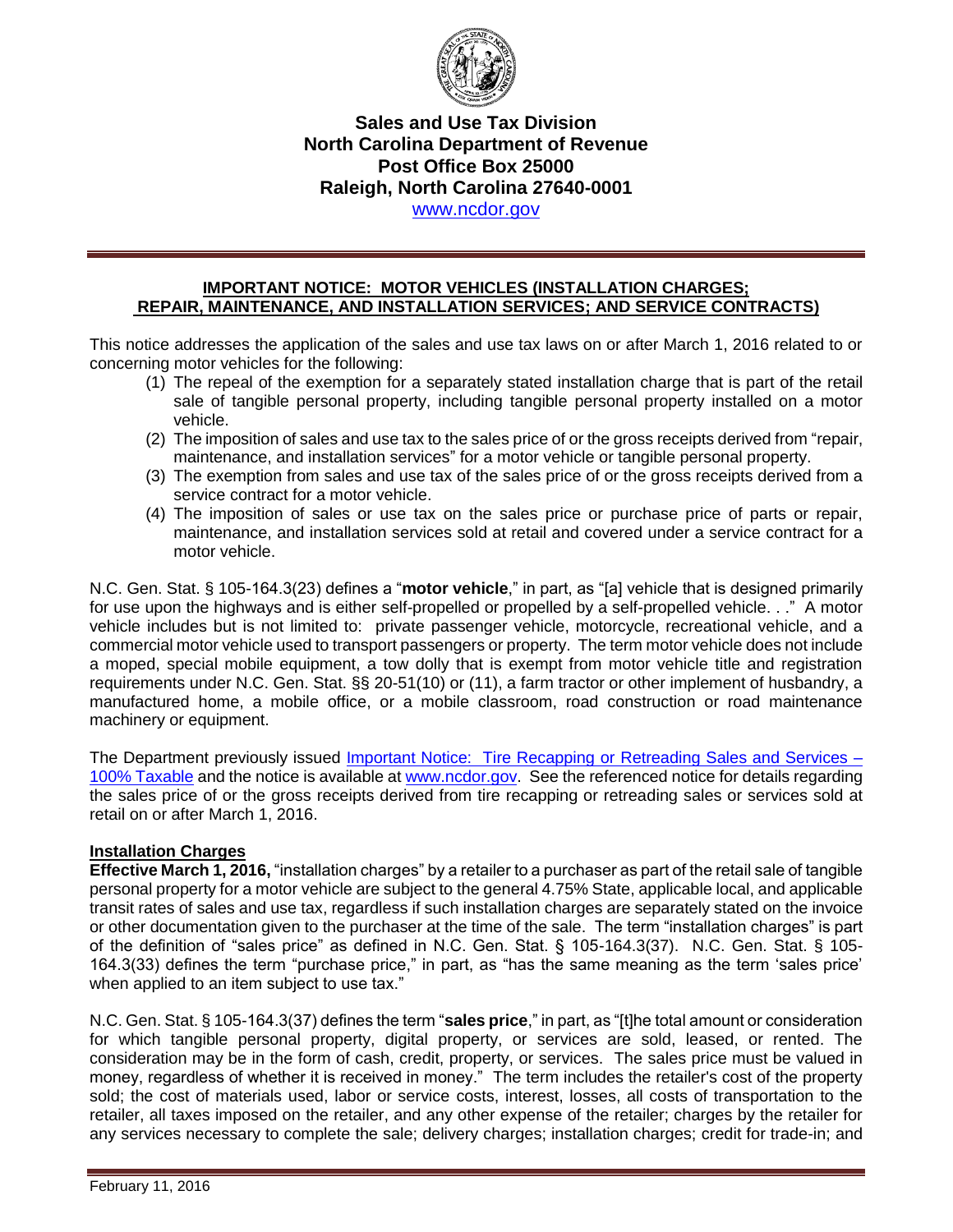

# **Sales and Use Tax Division North Carolina Department of Revenue Post Office Box 25000 Raleigh, North Carolina 27640-0001**

[www.ncdor.gov](http://www.ncdor.gov/)

#### **IMPORTANT NOTICE: MOTOR VEHICLES (INSTALLATION CHARGES; REPAIR, MAINTENANCE, AND INSTALLATION SERVICES; AND SERVICE CONTRACTS)**

This notice addresses the application of the sales and use tax laws on or after March 1, 2016 related to or concerning motor vehicles for the following:

- (1) The repeal of the exemption for a separately stated installation charge that is part of the retail sale of tangible personal property, including tangible personal property installed on a motor vehicle.
- (2) The imposition of sales and use tax to the sales price of or the gross receipts derived from "repair, maintenance, and installation services" for a motor vehicle or tangible personal property.
- (3) The exemption from sales and use tax of the sales price of or the gross receipts derived from a service contract for a motor vehicle.
- (4) The imposition of sales or use tax on the sales price or purchase price of parts or repair, maintenance, and installation services sold at retail and covered under a service contract for a motor vehicle.

N.C. Gen. Stat. § 105-164.3(23) defines a "**motor vehicle**," in part, as "[a] vehicle that is designed primarily for use upon the highways and is either self-propelled or propelled by a self-propelled vehicle. . ." A motor vehicle includes but is not limited to: private passenger vehicle, motorcycle, recreational vehicle, and a commercial motor vehicle used to transport passengers or property. The term motor vehicle does not include a moped, special mobile equipment, a tow dolly that is exempt from motor vehicle title and registration requirements under N.C. Gen. Stat. §§ 20-51(10) or (11), a farm tractor or other implement of husbandry, a manufactured home, a mobile office, or a mobile classroom, road construction or road maintenance machinery or equipment.

The Department previously issued [Important Notice: Tire Recapping or](https://www.ncdor.gov/documents/important-notice-tire-recapping-or-retreading-sales-and-services-100-taxable) Retreading Sales and Services – [100% Taxable](https://www.ncdor.gov/documents/important-notice-tire-recapping-or-retreading-sales-and-services-100-taxable) and the notice is available at [www.ncdor.gov.](http://www.ncdor.gov/) See the referenced notice for details regarding the sales price of or the gross receipts derived from tire recapping or retreading sales or services sold at retail on or after March 1, 2016.

# **Installation Charges**

**Effective March 1, 2016,** "installation charges" by a retailer to a purchaser as part of the retail sale of tangible personal property for a motor vehicle are subject to the general 4.75% State, applicable local, and applicable transit rates of sales and use tax, regardless if such installation charges are separately stated on the invoice or other documentation given to the purchaser at the time of the sale. The term "installation charges" is part of the definition of "sales price" as defined in N.C. Gen. Stat. § 105-164.3(37). N.C. Gen. Stat. § 105- 164.3(33) defines the term "purchase price," in part, as "has the same meaning as the term 'sales price' when applied to an item subject to use tax."

N.C. Gen. Stat. § 105-164.3(37) defines the term "**sales price**," in part, as "[t]he total amount or consideration for which tangible personal property, digital property, or services are sold, leased, or rented. The consideration may be in the form of cash, credit, property, or services. The sales price must be valued in money, regardless of whether it is received in money." The term includes the retailer's cost of the property sold; the cost of materials used, labor or service costs, interest, losses, all costs of transportation to the retailer, all taxes imposed on the retailer, and any other expense of the retailer; charges by the retailer for any services necessary to complete the sale; delivery charges; installation charges; credit for trade-in; and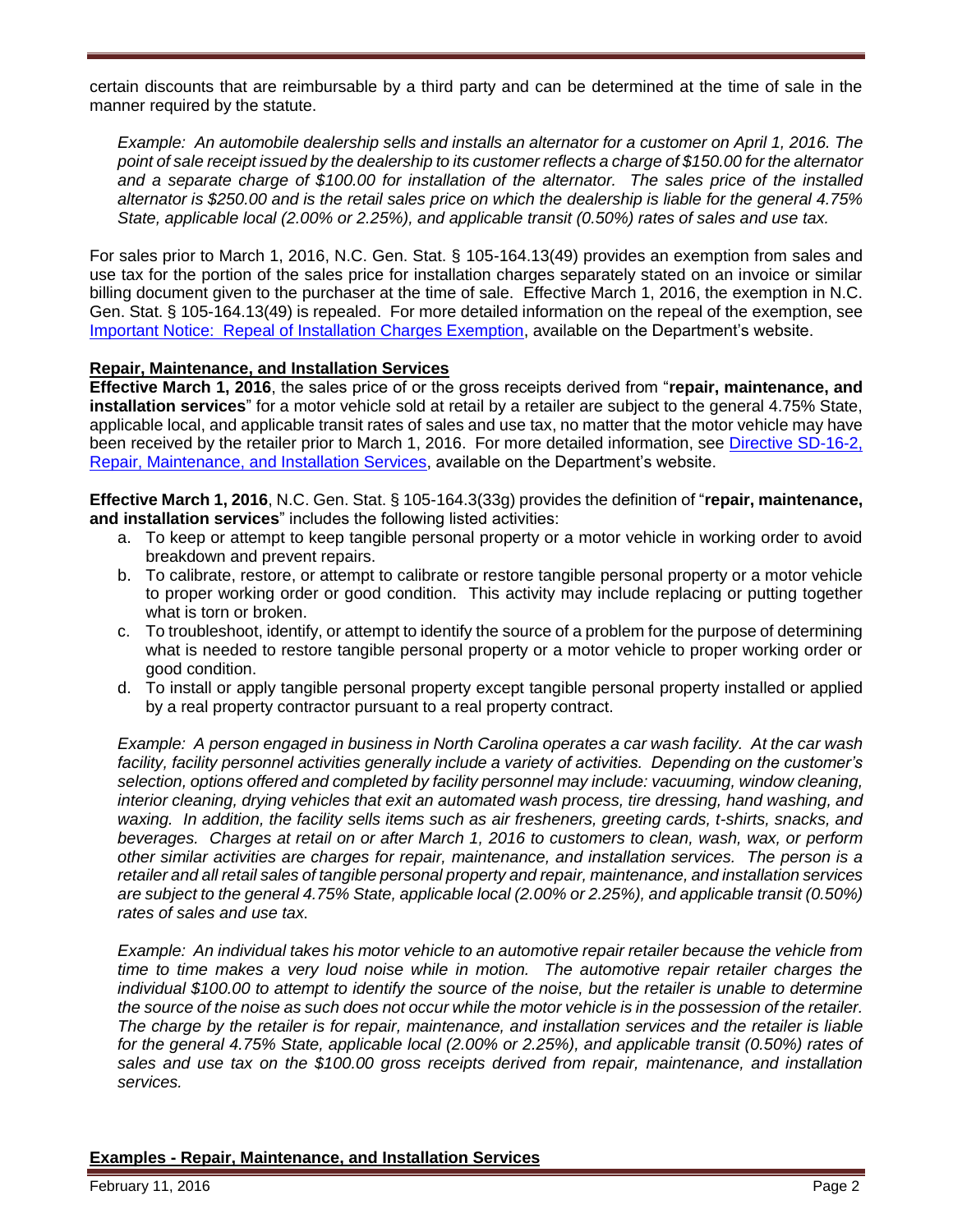certain discounts that are reimbursable by a third party and can be determined at the time of sale in the manner required by the statute.

*Example: An automobile dealership sells and installs an alternator for a customer on April 1, 2016. The point of sale receipt issued by the dealership to its customer reflects a charge of \$150.00 for the alternator and a separate charge of \$100.00 for installation of the alternator. The sales price of the installed alternator is \$250.00 and is the retail sales price on which the dealership is liable for the general 4.75% State, applicable local (2.00% or 2.25%), and applicable transit (0.50%) rates of sales and use tax.* 

For sales prior to March 1, 2016, N.C. Gen. Stat. § 105-164.13(49) provides an exemption from sales and use tax for the portion of the sales price for installation charges separately stated on an invoice or similar billing document given to the purchaser at the time of sale. Effective March 1, 2016, the exemption in N.C. Gen. Stat. § 105-164.13(49) is repealed. For more detailed information on the repeal of the exemption, see [Important Notice: Repeal of Installation Charges Exemption,](https://www.ncdor.gov/documents/important-notice-repeal-installation-charges-exemption) available on the Department's website.

# **Repair, Maintenance, and Installation Services**

**Effective March 1, 2016**, the sales price of or the gross receipts derived from "**repair, maintenance, and installation services**" for a motor vehicle sold at retail by a retailer are subject to the general 4.75% State, applicable local, and applicable transit rates of sales and use tax, no matter that the motor vehicle may have been received by the retailer prior to March 1, 2016. For more detailed information, see [Directive SD-16-2,](https://www.ncdor.gov/documents/sales-use-tax-directive-16-2)  [Repair, Maintenance, and Installation Services,](https://www.ncdor.gov/documents/sales-use-tax-directive-16-2) available on the Department's website.

**Effective March 1, 2016**, N.C. Gen. Stat. § 105-164.3(33g) provides the definition of "**repair, maintenance, and installation services**" includes the following listed activities:

- a. To keep or attempt to keep tangible personal property or a motor vehicle in working order to avoid breakdown and prevent repairs.
- b. To calibrate, restore, or attempt to calibrate or restore tangible personal property or a motor vehicle to proper working order or good condition. This activity may include replacing or putting together what is torn or broken.
- c. To troubleshoot, identify, or attempt to identify the source of a problem for the purpose of determining what is needed to restore tangible personal property or a motor vehicle to proper working order or good condition.
- d. To install or apply tangible personal property except tangible personal property installed or applied by a real property contractor pursuant to a real property contract.

*Example: A person engaged in business in North Carolina operates a car wash facility. At the car wash facility, facility personnel activities generally include a variety of activities. Depending on the customer's selection, options offered and completed by facility personnel may include: vacuuming, window cleaning, interior cleaning, drying vehicles that exit an automated wash process, tire dressing, hand washing, and waxing. In addition, the facility sells items such as air fresheners, greeting cards, t-shirts, snacks, and beverages. Charges at retail on or after March 1, 2016 to customers to clean, wash, wax, or perform other similar activities are charges for repair, maintenance, and installation services. The person is a retailer and all retail sales of tangible personal property and repair, maintenance, and installation services are subject to the general 4.75% State, applicable local (2.00% or 2.25%), and applicable transit (0.50%) rates of sales and use tax.* 

*Example: An individual takes his motor vehicle to an automotive repair retailer because the vehicle from time to time makes a very loud noise while in motion. The automotive repair retailer charges the individual \$100.00 to attempt to identify the source of the noise, but the retailer is unable to determine the source of the noise as such does not occur while the motor vehicle is in the possession of the retailer. The charge by the retailer is for repair, maintenance, and installation services and the retailer is liable for the general 4.75% State, applicable local (2.00% or 2.25%), and applicable transit (0.50%) rates of sales and use tax on the \$100.00 gross receipts derived from repair, maintenance, and installation services.*

#### **Examples - Repair, Maintenance, and Installation Services**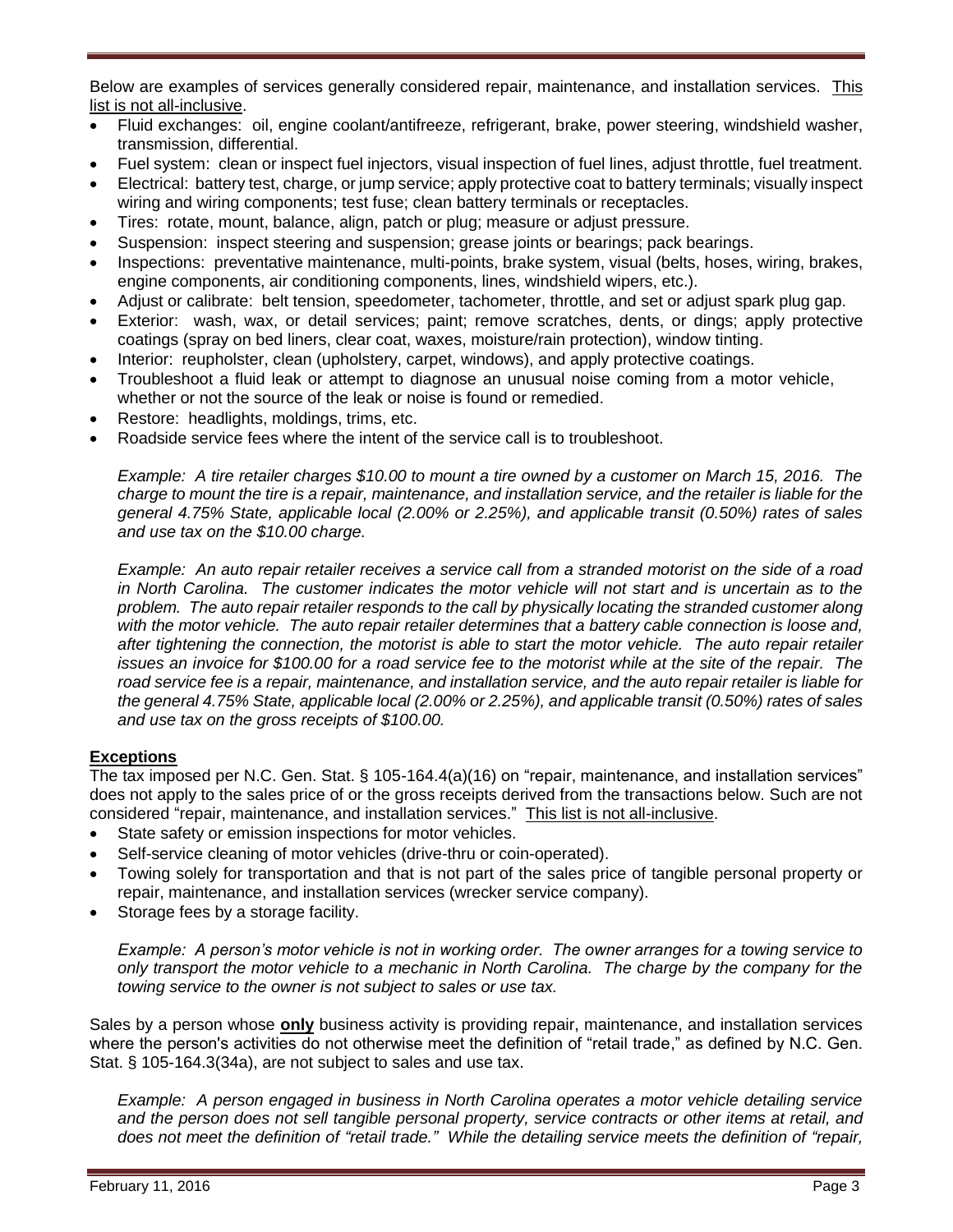Below are examples of services generally considered repair, maintenance, and installation services. This list is not all-inclusive.

- Fluid exchanges: oil, engine coolant/antifreeze, refrigerant, brake, power steering, windshield washer, transmission, differential.
- Fuel system: clean or inspect fuel injectors, visual inspection of fuel lines, adjust throttle, fuel treatment.
- Electrical: battery test, charge, or jump service; apply protective coat to battery terminals; visually inspect wiring and wiring components; test fuse; clean battery terminals or receptacles.
- Tires: rotate, mount, balance, align, patch or plug; measure or adjust pressure.
- Suspension: inspect steering and suspension; grease joints or bearings; pack bearings.
- Inspections: preventative maintenance, multi-points, brake system, visual (belts, hoses, wiring, brakes, engine components, air conditioning components, lines, windshield wipers, etc.).
- Adjust or calibrate: belt tension, speedometer, tachometer, throttle, and set or adjust spark plug gap.
- Exterior: wash, wax, or detail services; paint; remove scratches, dents, or dings; apply protective coatings (spray on bed liners, clear coat, waxes, moisture/rain protection), window tinting.
- Interior: reupholster, clean (upholstery, carpet, windows), and apply protective coatings.
- Troubleshoot a fluid leak or attempt to diagnose an unusual noise coming from a motor vehicle, whether or not the source of the leak or noise is found or remedied.
- Restore: headlights, moldings, trims, etc.
- Roadside service fees where the intent of the service call is to troubleshoot.

*Example: A tire retailer charges \$10.00 to mount a tire owned by a customer on March 15, 2016. The charge to mount the tire is a repair, maintenance, and installation service, and the retailer is liable for the general 4.75% State, applicable local (2.00% or 2.25%), and applicable transit (0.50%) rates of sales and use tax on the \$10.00 charge.* 

*Example: An auto repair retailer receives a service call from a stranded motorist on the side of a road in North Carolina. The customer indicates the motor vehicle will not start and is uncertain as to the problem. The auto repair retailer responds to the call by physically locating the stranded customer along with the motor vehicle. The auto repair retailer determines that a battery cable connection is loose and, after tightening the connection, the motorist is able to start the motor vehicle. The auto repair retailer issues an invoice for \$100.00 for a road service fee to the motorist while at the site of the repair. The road service fee is a repair, maintenance, and installation service, and the auto repair retailer is liable for the general 4.75% State, applicable local (2.00% or 2.25%), and applicable transit (0.50%) rates of sales and use tax on the gross receipts of \$100.00.*

# **Exceptions**

The tax imposed per N.C. Gen. Stat. § 105-164.4(a)(16) on "repair, maintenance, and installation services" does not apply to the sales price of or the gross receipts derived from the transactions below. Such are not considered "repair, maintenance, and installation services." This list is not all-inclusive.

- State safety or emission inspections for motor vehicles.
- Self-service cleaning of motor vehicles (drive-thru or coin-operated).
- Towing solely for transportation and that is not part of the sales price of tangible personal property or repair, maintenance, and installation services (wrecker service company).
- Storage fees by a storage facility.

*Example: A person's motor vehicle is not in working order. The owner arranges for a towing service to only transport the motor vehicle to a mechanic in North Carolina. The charge by the company for the towing service to the owner is not subject to sales or use tax.* 

Sales by a person whose **only** business activity is providing repair, maintenance, and installation services where the person's activities do not otherwise meet the definition of "retail trade," as defined by N.C. Gen. Stat. § 105-164.3(34a), are not subject to sales and use tax.

*Example: A person engaged in business in North Carolina operates a motor vehicle detailing service and the person does not sell tangible personal property, service contracts or other items at retail, and does not meet the definition of "retail trade." While the detailing service meets the definition of "repair,*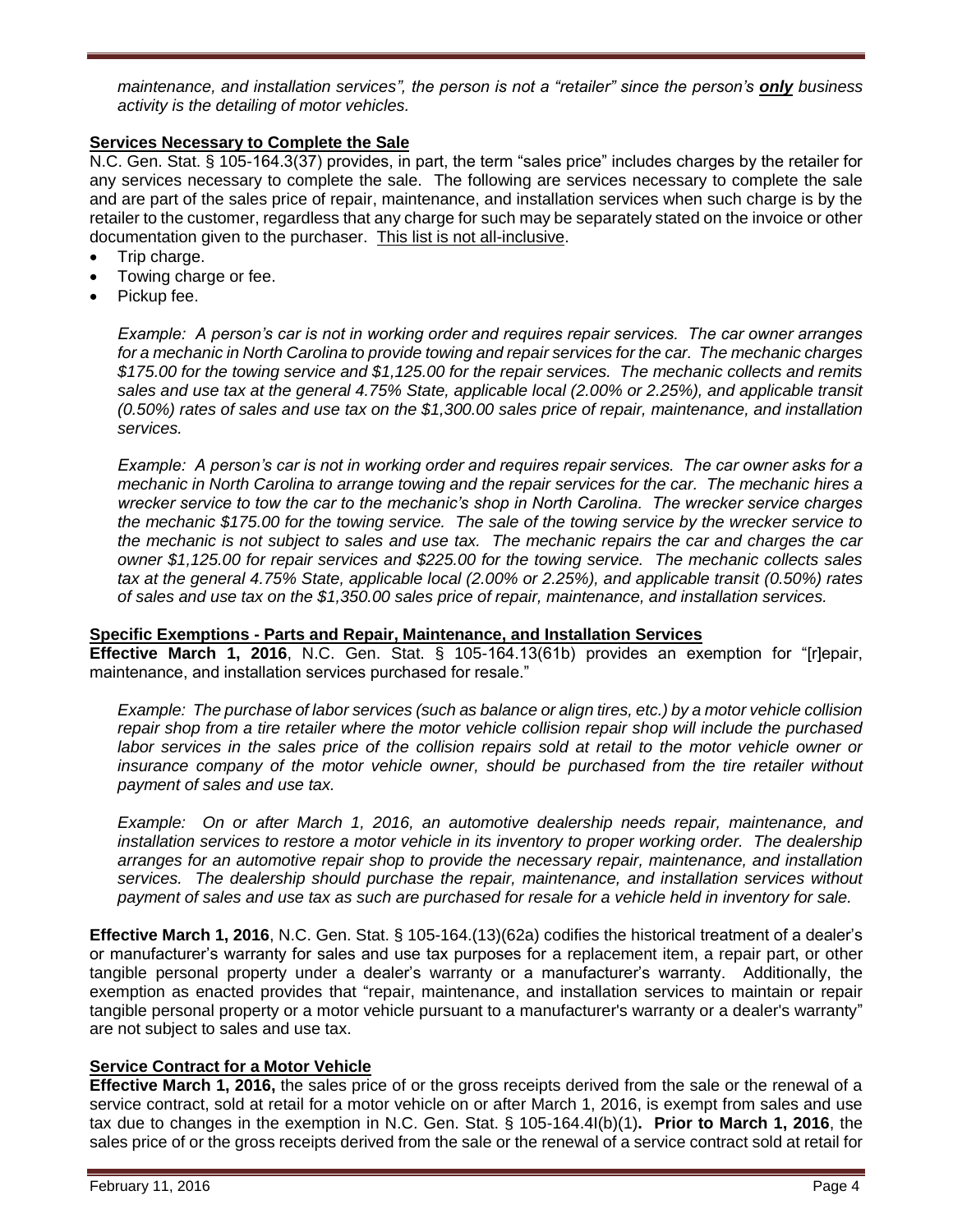*maintenance, and installation services", the person is not a "retailer" since the person's only business activity is the detailing of motor vehicles.*

# **Services Necessary to Complete the Sale**

N.C. Gen. Stat. § 105-164.3(37) provides, in part, the term "sales price" includes charges by the retailer for any services necessary to complete the sale. The following are services necessary to complete the sale and are part of the sales price of repair, maintenance, and installation services when such charge is by the retailer to the customer, regardless that any charge for such may be separately stated on the invoice or other documentation given to the purchaser. This list is not all-inclusive.

- Trip charge.
- Towing charge or fee.
- Pickup fee.

*Example: A person's car is not in working order and requires repair services. The car owner arranges for a mechanic in North Carolina to provide towing and repair services for the car. The mechanic charges \$175.00 for the towing service and \$1,125.00 for the repair services. The mechanic collects and remits sales and use tax at the general 4.75% State, applicable local (2.00% or 2.25%), and applicable transit (0.50%) rates of sales and use tax on the \$1,300.00 sales price of repair, maintenance, and installation services.*

*Example: A person's car is not in working order and requires repair services. The car owner asks for a mechanic in North Carolina to arrange towing and the repair services for the car. The mechanic hires a wrecker service to tow the car to the mechanic's shop in North Carolina. The wrecker service charges the mechanic \$175.00 for the towing service. The sale of the towing service by the wrecker service to the mechanic is not subject to sales and use tax. The mechanic repairs the car and charges the car owner \$1,125.00 for repair services and \$225.00 for the towing service. The mechanic collects sales tax at the general 4.75% State, applicable local (2.00% or 2.25%), and applicable transit (0.50%) rates of sales and use tax on the \$1,350.00 sales price of repair, maintenance, and installation services.*

#### **Specific Exemptions - Parts and Repair, Maintenance, and Installation Services**

**Effective March 1, 2016**, N.C. Gen. Stat. § 105-164.13(61b) provides an exemption for "[r]epair, maintenance, and installation services purchased for resale."

*Example: The purchase of labor services (such as balance or align tires, etc.) by a motor vehicle collision repair shop from a tire retailer where the motor vehicle collision repair shop will include the purchased labor services in the sales price of the collision repairs sold at retail to the motor vehicle owner or insurance company of the motor vehicle owner, should be purchased from the tire retailer without payment of sales and use tax.*

*Example: On or after March 1, 2016, an automotive dealership needs repair, maintenance, and installation services to restore a motor vehicle in its inventory to proper working order. The dealership arranges for an automotive repair shop to provide the necessary repair, maintenance, and installation services. The dealership should purchase the repair, maintenance, and installation services without payment of sales and use tax as such are purchased for resale for a vehicle held in inventory for sale.*

**Effective March 1, 2016**, N.C. Gen. Stat. § 105-164.(13)(62a) codifies the historical treatment of a dealer's or manufacturer's warranty for sales and use tax purposes for a replacement item, a repair part, or other tangible personal property under a dealer's warranty or a manufacturer's warranty. Additionally, the exemption as enacted provides that "repair, maintenance, and installation services to maintain or repair tangible personal property or a motor vehicle pursuant to a manufacturer's warranty or a dealer's warranty" are not subject to sales and use tax.

# **Service Contract for a Motor Vehicle**

**Effective March 1, 2016,** the sales price of or the gross receipts derived from the sale or the renewal of a service contract, sold at retail for a motor vehicle on or after March 1, 2016, is exempt from sales and use tax due to changes in the exemption in N.C. Gen. Stat. § 105-164.4I(b)(1)**. Prior to March 1, 2016**, the sales price of or the gross receipts derived from the sale or the renewal of a service contract sold at retail for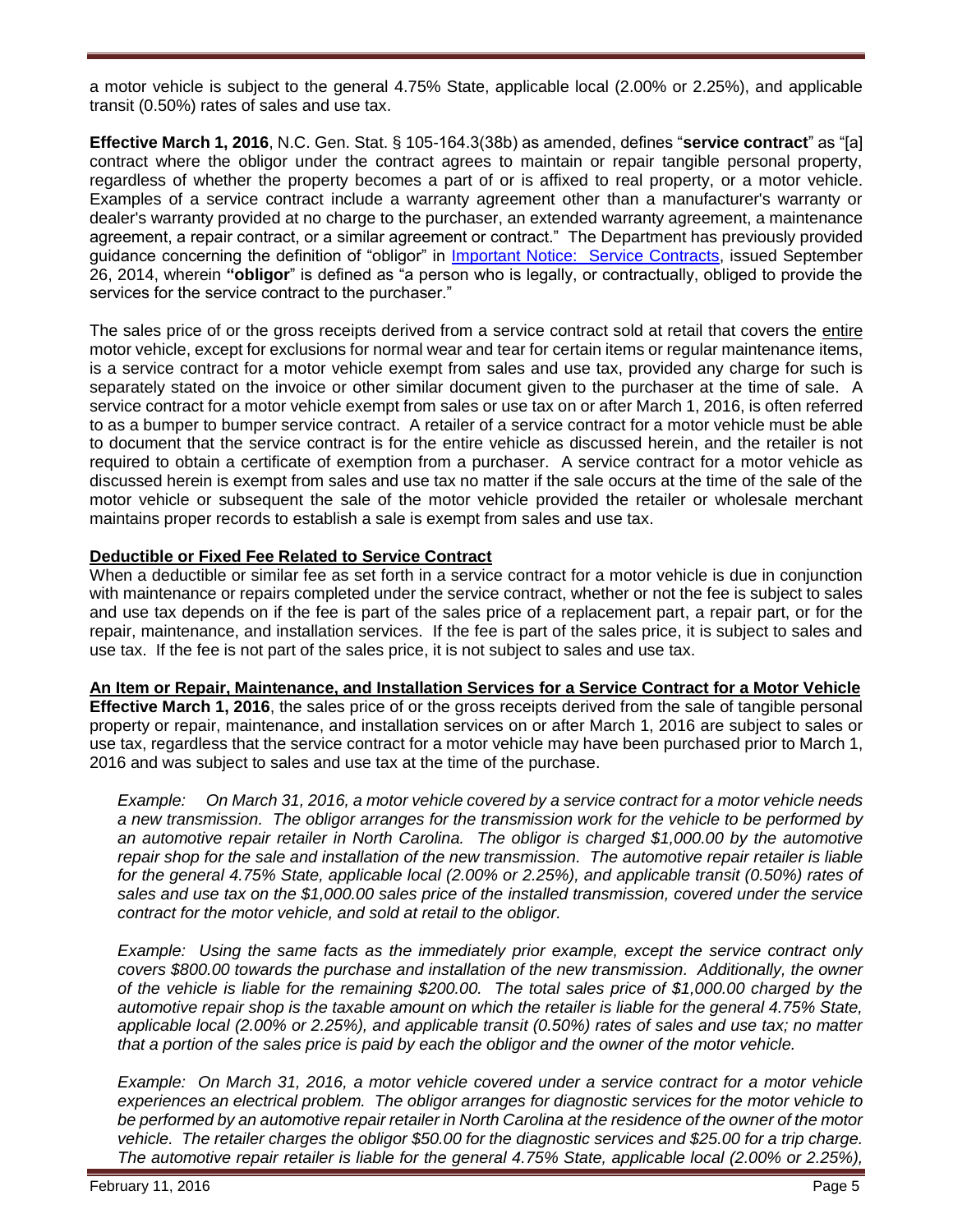a motor vehicle is subject to the general 4.75% State, applicable local (2.00% or 2.25%), and applicable transit (0.50%) rates of sales and use tax.

**Effective March 1, 2016**, N.C. Gen. Stat. § 105-164.3(38b) as amended, defines "**service contract**" as "[a] contract where the obligor under the contract agrees to maintain or repair tangible personal property, regardless of whether the property becomes a part of or is affixed to real property, or a motor vehicle. Examples of a service contract include a warranty agreement other than a manufacturer's warranty or dealer's warranty provided at no charge to the purchaser, an extended warranty agreement, a maintenance agreement, a repair contract, or a similar agreement or contract." The Department has previously provided guidance concerning the definition of "obligor" in *Important Notice: Service Contracts*, issued September 26, 2014, wherein **"obligor**" is defined as "a person who is legally, or contractually, obliged to provide the services for the service contract to the purchaser."

The sales price of or the gross receipts derived from a service contract sold at retail that covers the entire motor vehicle, except for exclusions for normal wear and tear for certain items or regular maintenance items, is a service contract for a motor vehicle exempt from sales and use tax, provided any charge for such is separately stated on the invoice or other similar document given to the purchaser at the time of sale. A service contract for a motor vehicle exempt from sales or use tax on or after March 1, 2016, is often referred to as a bumper to bumper service contract. A retailer of a service contract for a motor vehicle must be able to document that the service contract is for the entire vehicle as discussed herein, and the retailer is not required to obtain a certificate of exemption from a purchaser. A service contract for a motor vehicle as discussed herein is exempt from sales and use tax no matter if the sale occurs at the time of the sale of the motor vehicle or subsequent the sale of the motor vehicle provided the retailer or wholesale merchant maintains proper records to establish a sale is exempt from sales and use tax.

# **Deductible or Fixed Fee Related to Service Contract**

When a deductible or similar fee as set forth in a service contract for a motor vehicle is due in conjunction with maintenance or repairs completed under the service contract, whether or not the fee is subject to sales and use tax depends on if the fee is part of the sales price of a replacement part, a repair part, or for the repair, maintenance, and installation services. If the fee is part of the sales price, it is subject to sales and use tax. If the fee is not part of the sales price, it is not subject to sales and use tax.

# **An Item or Repair, Maintenance, and Installation Services for a Service Contract for a Motor Vehicle**

**Effective March 1, 2016**, the sales price of or the gross receipts derived from the sale of tangible personal property or repair, maintenance, and installation services on or after March 1, 2016 are subject to sales or use tax, regardless that the service contract for a motor vehicle may have been purchased prior to March 1, 2016 and was subject to sales and use tax at the time of the purchase.

*Example: On March 31, 2016, a motor vehicle covered by a service contract for a motor vehicle needs a new transmission. The obligor arranges for the transmission work for the vehicle to be performed by an automotive repair retailer in North Carolina. The obligor is charged \$1,000.00 by the automotive repair shop for the sale and installation of the new transmission. The automotive repair retailer is liable for the general 4.75% State, applicable local (2.00% or 2.25%), and applicable transit (0.50%) rates of sales and use tax on the \$1,000.00 sales price of the installed transmission, covered under the service contract for the motor vehicle, and sold at retail to the obligor.* 

*Example: Using the same facts as the immediately prior example, except the service contract only covers \$800.00 towards the purchase and installation of the new transmission. Additionally, the owner of the vehicle is liable for the remaining \$200.00. The total sales price of \$1,000.00 charged by the automotive repair shop is the taxable amount on which the retailer is liable for the general 4.75% State, applicable local (2.00% or 2.25%), and applicable transit (0.50%) rates of sales and use tax; no matter that a portion of the sales price is paid by each the obligor and the owner of the motor vehicle.*

*Example: On March 31, 2016, a motor vehicle covered under a service contract for a motor vehicle experiences an electrical problem. The obligor arranges for diagnostic services for the motor vehicle to be performed by an automotive repair retailer in North Carolina at the residence of the owner of the motor vehicle. The retailer charges the obligor \$50.00 for the diagnostic services and \$25.00 for a trip charge. The automotive repair retailer is liable for the general 4.75% State, applicable local (2.00% or 2.25%),*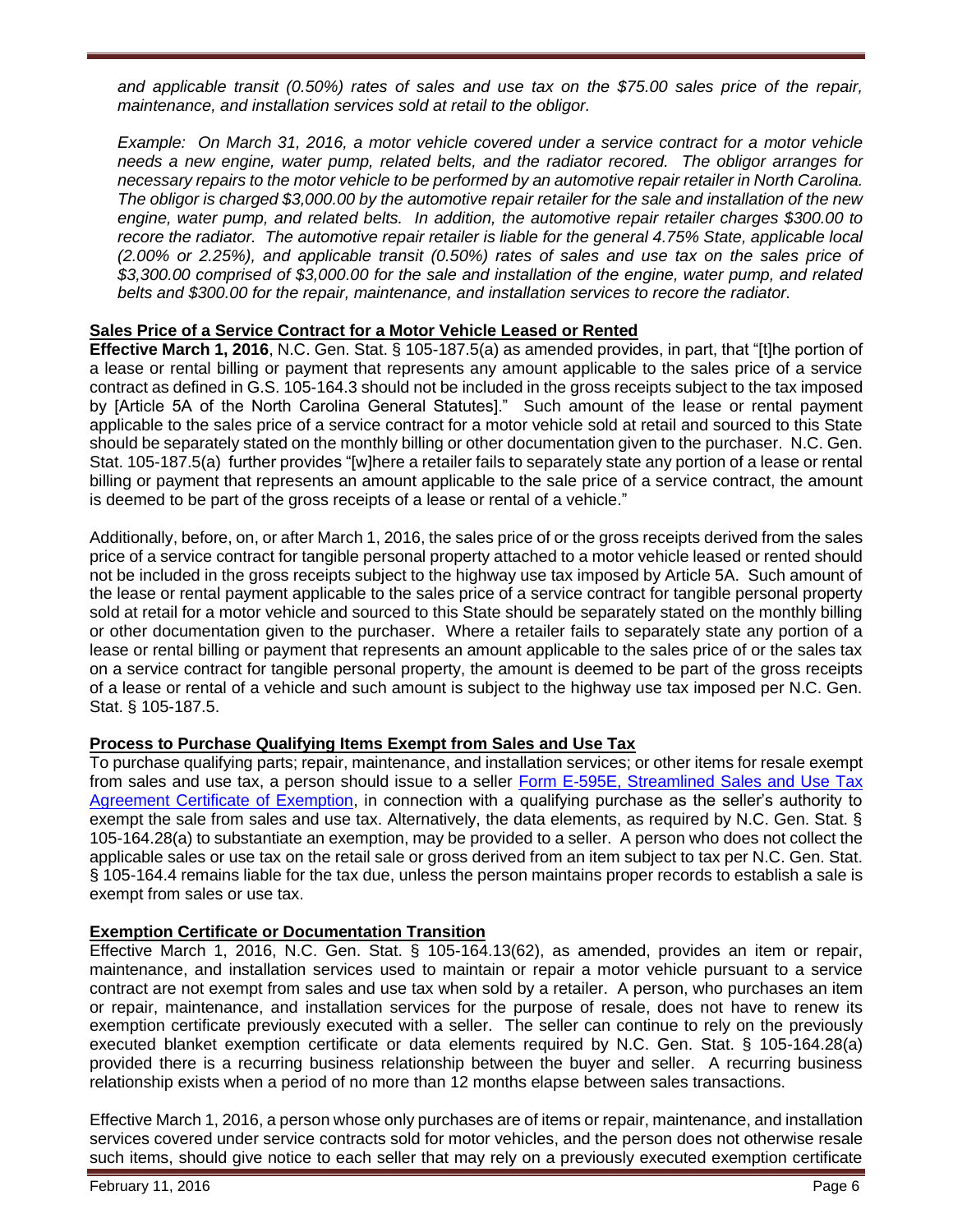*and applicable transit (0.50%) rates of sales and use tax on the \$75.00 sales price of the repair, maintenance, and installation services sold at retail to the obligor.* 

*Example: On March 31, 2016, a motor vehicle covered under a service contract for a motor vehicle needs a new engine, water pump, related belts, and the radiator recored. The obligor arranges for necessary repairs to the motor vehicle to be performed by an automotive repair retailer in North Carolina. The obligor is charged \$3,000.00 by the automotive repair retailer for the sale and installation of the new engine, water pump, and related belts. In addition, the automotive repair retailer charges \$300.00 to recore the radiator. The automotive repair retailer is liable for the general 4.75% State, applicable local (2.00% or 2.25%), and applicable transit (0.50%) rates of sales and use tax on the sales price of \$3,300.00 comprised of \$3,000.00 for the sale and installation of the engine, water pump, and related belts and \$300.00 for the repair, maintenance, and installation services to recore the radiator.* 

# **Sales Price of a Service Contract for a Motor Vehicle Leased or Rented**

**Effective March 1, 2016**, N.C. Gen. Stat. § 105-187.5(a) as amended provides, in part, that "[t]he portion of a lease or rental billing or payment that represents any amount applicable to the sales price of a service contract as defined in G.S. 105-164.3 should not be included in the gross receipts subject to the tax imposed by [Article 5A of the North Carolina General Statutes]." Such amount of the lease or rental payment applicable to the sales price of a service contract for a motor vehicle sold at retail and sourced to this State should be separately stated on the monthly billing or other documentation given to the purchaser. N.C. Gen. Stat. 105-187.5(a) further provides "[w]here a retailer fails to separately state any portion of a lease or rental billing or payment that represents an amount applicable to the sale price of a service contract, the amount is deemed to be part of the gross receipts of a lease or rental of a vehicle."

Additionally, before, on, or after March 1, 2016, the sales price of or the gross receipts derived from the sales price of a service contract for tangible personal property attached to a motor vehicle leased or rented should not be included in the gross receipts subject to the highway use tax imposed by Article 5A. Such amount of the lease or rental payment applicable to the sales price of a service contract for tangible personal property sold at retail for a motor vehicle and sourced to this State should be separately stated on the monthly billing or other documentation given to the purchaser. Where a retailer fails to separately state any portion of a lease or rental billing or payment that represents an amount applicable to the sales price of or the sales tax on a service contract for tangible personal property, the amount is deemed to be part of the gross receipts of a lease or rental of a vehicle and such amount is subject to the highway use tax imposed per N.C. Gen. Stat. § 105-187.5.

# **Process to Purchase Qualifying Items Exempt from Sales and Use Tax**

To purchase qualifying parts; repair, maintenance, and installation services; or other items for resale exempt from sales and use tax, a person should issue to a seller [Form E-595E, Streamlined Sales and Use Tax](https://www.ncdor.gov/documents/form-e-595e-streamlined-sales-and-use-tax-agreement-certificate-exemption)  [Agreement Certificate of Exemption,](https://www.ncdor.gov/documents/form-e-595e-streamlined-sales-and-use-tax-agreement-certificate-exemption) in connection with a qualifying purchase as the seller's authority to exempt the sale from sales and use tax. Alternatively, the data elements, as required by N.C. Gen. Stat. § 105-164.28(a) to substantiate an exemption, may be provided to a seller. A person who does not collect the applicable sales or use tax on the retail sale or gross derived from an item subject to tax per N.C. Gen. Stat. § 105-164.4 remains liable for the tax due, unless the person maintains proper records to establish a sale is exempt from sales or use tax.

# **Exemption Certificate or Documentation Transition**

Effective March 1, 2016, N.C. Gen. Stat. § 105-164.13(62), as amended, provides an item or repair, maintenance, and installation services used to maintain or repair a motor vehicle pursuant to a service contract are not exempt from sales and use tax when sold by a retailer. A person, who purchases an item or repair, maintenance, and installation services for the purpose of resale, does not have to renew its exemption certificate previously executed with a seller. The seller can continue to rely on the previously executed blanket exemption certificate or data elements required by N.C. Gen. Stat. § 105-164.28(a) provided there is a recurring business relationship between the buyer and seller. A recurring business relationship exists when a period of no more than 12 months elapse between sales transactions.

Effective March 1, 2016, a person whose only purchases are of items or repair, maintenance, and installation services covered under service contracts sold for motor vehicles, and the person does not otherwise resale such items, should give notice to each seller that may rely on a previously executed exemption certificate